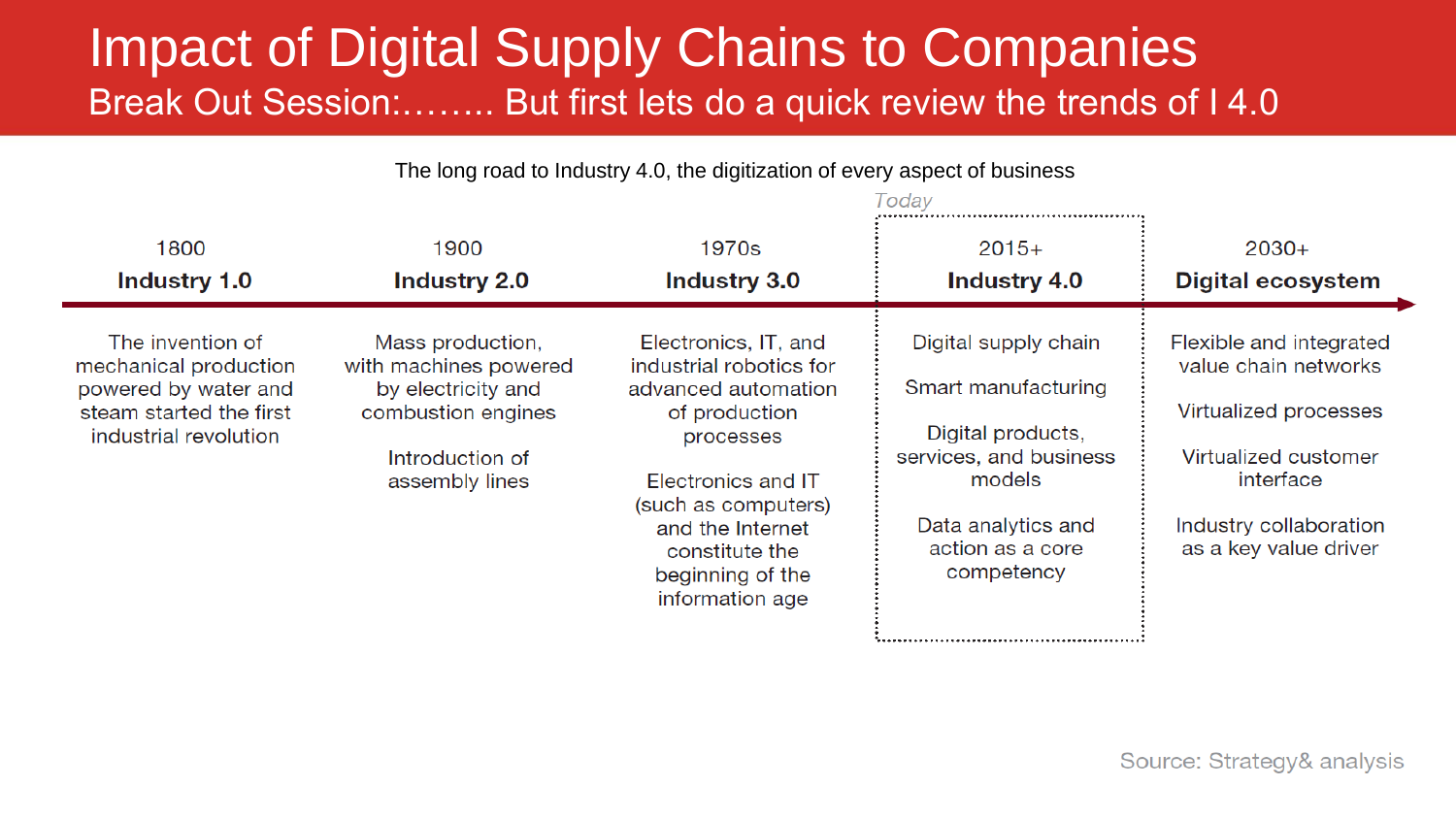## Impact of Digital Supply Chains to Companies Break Out Session:…….. But first lets do a quick review the trends of I 4.0

The long road to Industry 4.0, the digitization of every aspect of business

Today

|                                                                                                                       |                                                                                                                            |                                                                                                                                                                                                                                | 10000                                                                                                                                                        |                                                                                                                                                                  |
|-----------------------------------------------------------------------------------------------------------------------|----------------------------------------------------------------------------------------------------------------------------|--------------------------------------------------------------------------------------------------------------------------------------------------------------------------------------------------------------------------------|--------------------------------------------------------------------------------------------------------------------------------------------------------------|------------------------------------------------------------------------------------------------------------------------------------------------------------------|
| 1800<br><b>Industry 1.0</b>                                                                                           | 1900<br><b>Industry 2.0</b>                                                                                                | 1970s<br><b>Industry 3.0</b>                                                                                                                                                                                                   | $2015+$<br><b>Industry 4.0</b>                                                                                                                               | $2030+$<br><b>Digital ecosystem</b>                                                                                                                              |
| The invention of<br>mechanical production<br>powered by water and<br>steam started the first<br>industrial revolution | Mass production,<br>with machines powered<br>by electricity and<br>combustion engines<br>Introduction of<br>assembly lines | Electronics, IT, and<br>industrial robotics for<br>advanced automation<br>of production<br>processes<br>Electronics and IT<br>(such as computers)<br>and the Internet<br>constitute the<br>beginning of the<br>information age | Digital supply chain<br>Smart manufacturing<br>Digital products,<br>services, and business<br>models<br>Data analytics and<br>action as a core<br>competency | Flexible and integrated<br>value chain networks<br>Virtualized processes<br>Virtualized customer<br>interface<br>Industry collaboration<br>as a key value driver |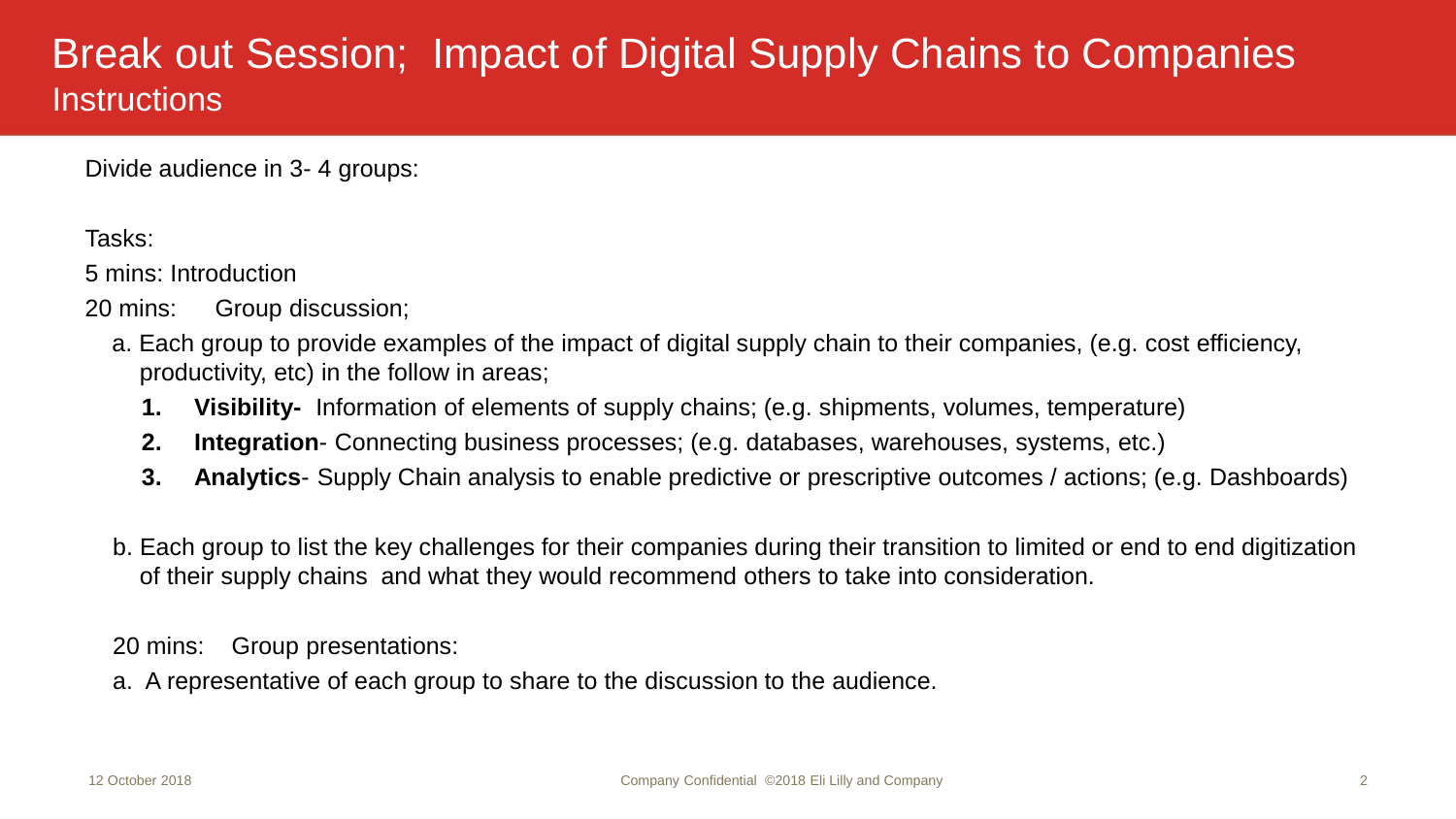## Break out Session; Impact of Digital Supply Chains to Companies **Instructions**

Divide audience in 3- 4 groups:

Tasks:

5 mins: Introduction

20 mins: Group discussion;

- a. Each group to provide examples of the impact of digital supply chain to their companies, (e.g. cost efficiency, productivity, etc) in the follow in areas;
	- **1. Visibility-** Information of elements of supply chains; (e.g. shipments, volumes, temperature)
	- **2. Integration** Connecting business processes; (e.g. databases, warehouses, systems, etc.)
	- **3. Analytics** Supply Chain analysis to enable predictive or prescriptive outcomes / actions; (e.g. Dashboards)
- b. Each group to list the key challenges for their companies during their transition to limited or end to end digitization of their supply chains and what they would recommend others to take into consideration.

20 mins: Group presentations:

a. A representative of each group to share to the discussion to the audience.